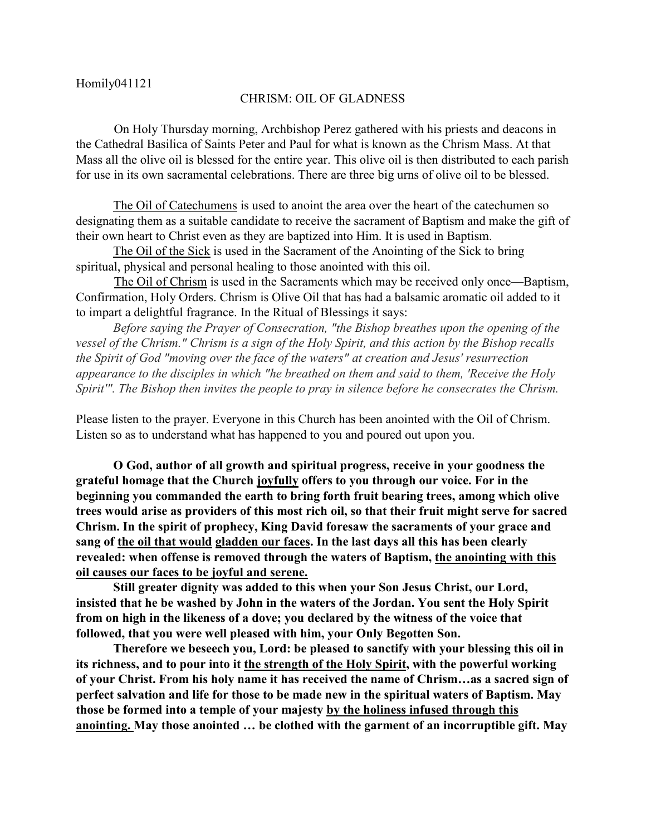## CHRISM: OIL OF GLADNESS

 On Holy Thursday morning, Archbishop Perez gathered with his priests and deacons in the Cathedral Basilica of Saints Peter and Paul for what is known as the Chrism Mass. At that Mass all the olive oil is blessed for the entire year. This olive oil is then distributed to each parish for use in its own sacramental celebrations. There are three big urns of olive oil to be blessed.

The Oil of Catechumens is used to anoint the area over the heart of the catechumen so designating them as a suitable candidate to receive the sacrament of Baptism and make the gift of their own heart to Christ even as they are baptized into Him. It is used in Baptism.

The Oil of the Sick is used in the Sacrament of the Anointing of the Sick to bring spiritual, physical and personal healing to those anointed with this oil.

 The Oil of Chrism is used in the Sacraments which may be received only once—Baptism, Confirmation, Holy Orders. Chrism is Olive Oil that has had a balsamic aromatic oil added to it to impart a delightful fragrance. In the Ritual of Blessings it says:

*Before saying the Prayer of Consecration, "the Bishop breathes upon the opening of the vessel of the Chrism." Chrism is a sign of the Holy Spirit, and this action by the Bishop recalls the Spirit of God "moving over the face of the waters" at creation and Jesus' resurrection appearance to the disciples in which "he breathed on them and said to them, 'Receive the Holy Spirit'". The Bishop then invites the people to pray in silence before he consecrates the Chrism.*

Please listen to the prayer. Everyone in this Church has been anointed with the Oil of Chrism. Listen so as to understand what has happened to you and poured out upon you.

**O God, author of all growth and spiritual progress, receive in your goodness the grateful homage that the Church joyfully offers to you through our voice. For in the beginning you commanded the earth to bring forth fruit bearing trees, among which olive trees would arise as providers of this most rich oil, so that their fruit might serve for sacred Chrism. In the spirit of prophecy, King David foresaw the sacraments of your grace and sang of the oil that would gladden our faces. In the last days all this has been clearly revealed: when offense is removed through the waters of Baptism, the anointing with this oil causes our faces to be joyful and serene.** 

**Still greater dignity was added to this when your Son Jesus Christ, our Lord, insisted that he be washed by John in the waters of the Jordan. You sent the Holy Spirit from on high in the likeness of a dove; you declared by the witness of the voice that followed, that you were well pleased with him, your Only Begotten Son.** 

**Therefore we beseech you, Lord: be pleased to sanctify with your blessing this oil in its richness, and to pour into it the strength of the Holy Spirit, with the powerful working of your Christ. From his holy name it has received the name of Chrism…as a sacred sign of perfect salvation and life for those to be made new in the spiritual waters of Baptism. May those be formed into a temple of your majesty by the holiness infused through this anointing. May those anointed … be clothed with the garment of an incorruptible gift. May**